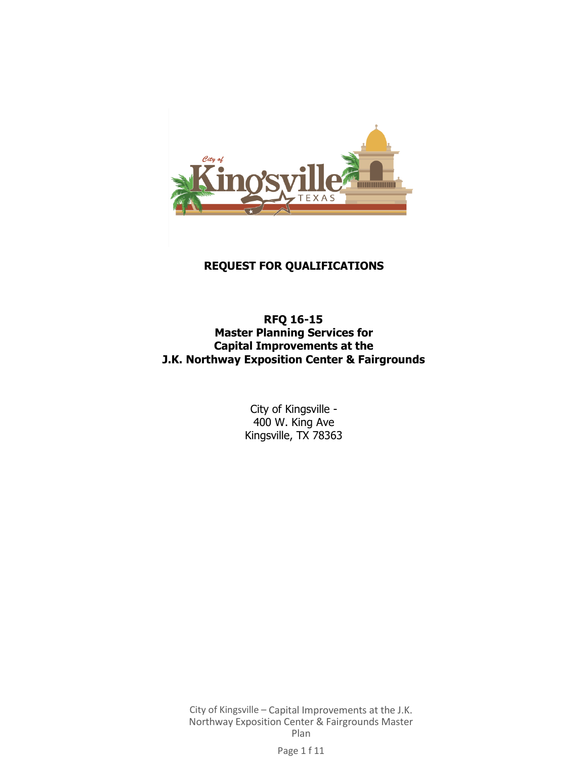

# **REQUEST FOR QUALIFICATIONS**

**RFQ 16-15 Master Planning Services for Capital Improvements at the J.K. Northway Exposition Center & Fairgrounds**

> City of Kingsville - 400 W. King Ave Kingsville, TX 78363

City of Kingsville – Capital Improvements at the J.K. Northway Exposition Center & Fairgrounds Master Plan

Page 1 f 11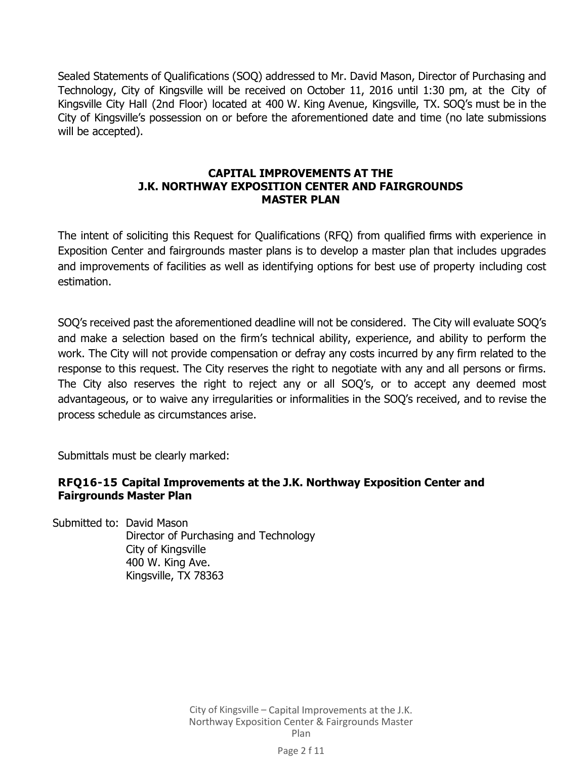Sealed Statements of Qualifications (SOQ) addressed to Mr. David Mason, Director of Purchasing and Technology, City of Kingsville will be received on October 11, 2016 until 1:30 pm, at the City of Kingsville City Hall (2nd Floor) located at 400 W. King Avenue, Kingsville, TX. SOQ's must be in the City of Kingsville's possession on or before the aforementioned date and time (no late submissions will be accepted).

### **CAPITAL IMPROVEMENTS AT THE J.K. NORTHWAY EXPOSITION CENTER AND FAIRGROUNDS MASTER PLAN**

The intent of soliciting this Request for Qualifications (RFQ) from qualified firms with experience in Exposition Center and fairgrounds master plans is to develop a master plan that includes upgrades and improvements of facilities as well as identifying options for best use of property including cost estimation.

SOQ's received past the aforementioned deadline will not be considered. The City will evaluate SOQ's and make a selection based on the firm's technical ability, experience, and ability to perform the work. The City will not provide compensation or defray any costs incurred by any firm related to the response to this request. The City reserves the right to negotiate with any and all persons or firms. The City also reserves the right to reject any or all SOQ's, or to accept any deemed most advantageous, or to waive any irregularities or informalities in the SOQ's received, and to revise the process schedule as circumstances arise.

Submittals must be clearly marked:

### **RFQ16-15 Capital Improvements at the J.K. Northway Exposition Center and Fairgrounds Master Plan**

Submitted to: David Mason Director of Purchasing and Technology City of Kingsville 400 W. King Ave. Kingsville, TX 78363

> City of Kingsville – Capital Improvements at the J.K. Northway Exposition Center & Fairgrounds Master Plan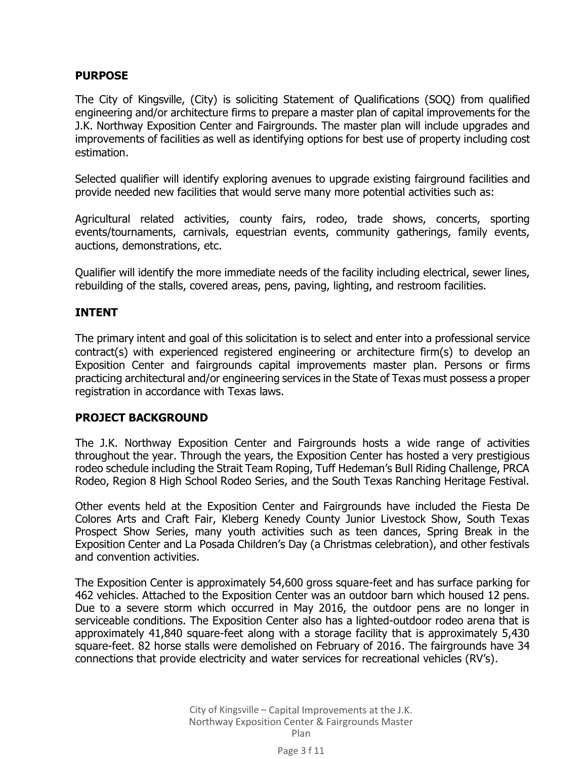### **PURPOSE**

The City of Kingsville, (City) is soliciting Statement of Qualifications (SOQ) from qualified engineering and/or architecture firms to prepare a master plan of capital improvements for the J.K. Northway Exposition Center and Fairgrounds. The master plan will include upgrades and improvements of facilities as well as identifying options for best use of property including cost estimation.

Selected qualifier will identify exploring avenues to upgrade existing fairground facilities and provide needed new facilities that would serve many more potential activities such as:

Agricultural related activities, county fairs, rodeo, trade shows, concerts, sporting events/tournaments, carnivals, equestrian events, community gatherings, family events, auctions, demonstrations, etc.

Qualifier will identify the more immediate needs of the facility including electrical, sewer lines, rebuilding of the stalls, covered areas, pens, paving, lighting, and restroom facilities.

### **INTENT**

The primary intent and goal of this solicitation is to select and enter into a professional service contract(s) with experienced registered engineering or architecture firm(s) to develop an Exposition Center and fairgrounds capital improvements master plan. Persons or firms practicing architectural and/or engineering services in the State of Texas must possess a proper registration in accordance with Texas laws.

### **PROJECT BACKGROUND**

The J.K. Northway Exposition Center and Fairgrounds hosts a wide range of activities throughout the year. Through the years, the Exposition Center has hosted a very prestigious rodeo schedule including the Strait Team Roping, Tuff Hedeman's Bull Riding Challenge, PRCA Rodeo, Region 8 High School Rodeo Series, and the South Texas Ranching Heritage Festival.

Other events held at the Exposition Center and Fairgrounds have included the Fiesta De Colores Arts and Craft Fair, Kleberg Kenedy County Junior Livestock Show, South Texas Prospect Show Series, many youth activities such as teen dances, Spring Break in the Exposition Center and La Posada Children's Day (a Christmas celebration), and other festivals and convention activities.

The Exposition Center is approximately 54,600 gross square-feet and has surface parking for 462 vehicles. Attached to the Exposition Center was an outdoor barn which housed 12 pens. Due to a severe storm which occurred in May 2016, the outdoor pens are no longer in serviceable conditions. The Exposition Center also has a lighted-outdoor rodeo arena that is approximately 41,840 square-feet along with a storage facility that is approximately 5,430 square-feet. 82 horse stalls were demolished on February of 2016. The fairgrounds have 34 connections that provide electricity and water services for recreational vehicles (RV's).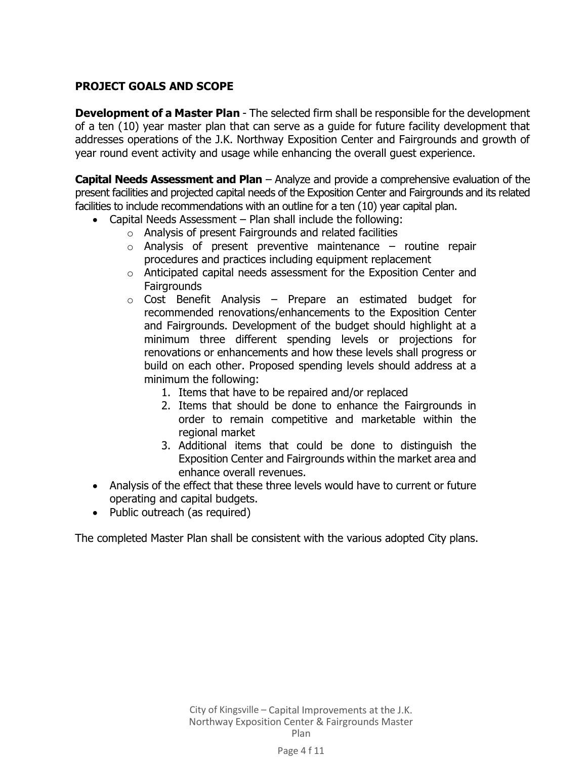### **PROJECT GOALS AND SCOPE**

**Development of a Master Plan** - The selected firm shall be responsible for the development of a ten (10) year master plan that can serve as a guide for future facility development that addresses operations of the J.K. Northway Exposition Center and Fairgrounds and growth of year round event activity and usage while enhancing the overall guest experience.

**Capital Needs Assessment and Plan** – Analyze and provide a comprehensive evaluation of the present facilities and projected capital needs of the Exposition Center and Fairgrounds and its related facilities to include recommendations with an outline for a ten (10) year capital plan.

- Capital Needs Assessment Plan shall include the following:
	- o Analysis of present Fairgrounds and related facilities
	- $\circ$  Analysis of present preventive maintenance routine repair procedures and practices including equipment replacement
	- o Anticipated capital needs assessment for the Exposition Center and **Fairgrounds**
	- $\circ$  Cost Benefit Analysis Prepare an estimated budget for recommended renovations/enhancements to the Exposition Center and Fairgrounds. Development of the budget should highlight at a minimum three different spending levels or projections for renovations or enhancements and how these levels shall progress or build on each other. Proposed spending levels should address at a minimum the following:
		- 1. Items that have to be repaired and/or replaced
		- 2. Items that should be done to enhance the Fairgrounds in order to remain competitive and marketable within the regional market
		- 3. Additional items that could be done to distinguish the Exposition Center and Fairgrounds within the market area and enhance overall revenues.
- Analysis of the effect that these three levels would have to current or future operating and capital budgets.
- Public outreach (as required)

The completed Master Plan shall be consistent with the various adopted City plans.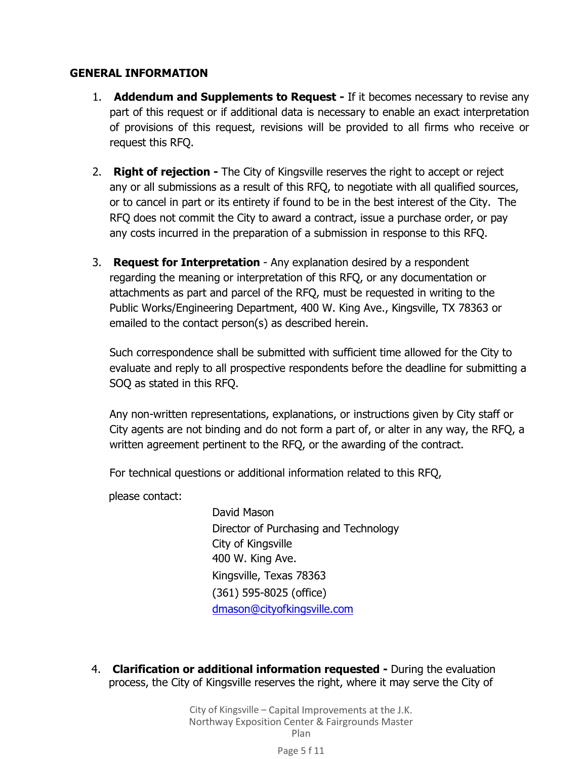### **GENERAL INFORMATION**

- 1. **Addendum and Supplements to Request -** If it becomes necessary to revise any part of this request or if additional data is necessary to enable an exact interpretation of provisions of this request, revisions will be provided to all firms who receive or request this RFQ.
- 2. **Right of rejection -** The City of Kingsville reserves the right to accept or reject any or all submissions as a result of this RFQ, to negotiate with all qualified sources, or to cancel in part or its entirety if found to be in the best interest of the City. The RFQ does not commit the City to award a contract, issue a purchase order, or pay any costs incurred in the preparation of a submission in response to this RFQ.
- 3. **Request for Interpretation**  Any explanation desired by a respondent regarding the meaning or interpretation of this RFQ, or any documentation or attachments as part and parcel of the RFQ, must be requested in writing to the Public Works/Engineering Department, 400 W. King Ave., Kingsville, TX 78363 or emailed to the contact person(s) as described herein.

Such correspondence shall be submitted with sufficient time allowed for the City to evaluate and reply to all prospective respondents before the deadline for submitting a SOQ as stated in this RFQ.

Any non-written representations, explanations, or instructions given by City staff or City agents are not binding and do not form a part of, or alter in any way, the RFQ, a written agreement pertinent to the RFQ, or the awarding of the contract.

For technical questions or additional information related to this RFQ,

please contact:

David Mason Director of Purchasing and Technology City of Kingsville 400 W. King Ave. Kingsville, Texas 78363 (361) 595-8025 (office) dmason@cityofkingsville.com

4. **Clarification or additional information requested -** During the evaluation process, the City of Kingsville reserves the right, where it may serve the City of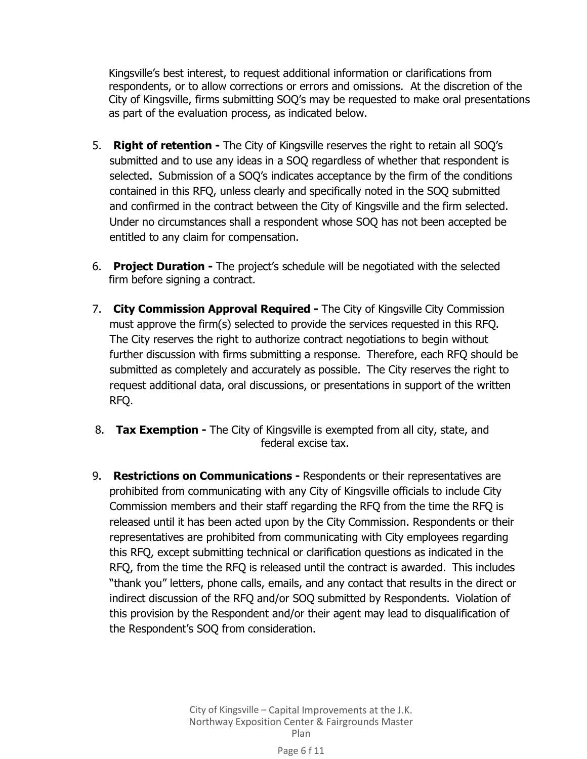Kingsville's best interest, to request additional information or clarifications from respondents, or to allow corrections or errors and omissions. At the discretion of the City of Kingsville, firms submitting SOQ's may be requested to make oral presentations as part of the evaluation process, as indicated below.

- 5. **Right of retention -** The City of Kingsville reserves the right to retain all SOQ's submitted and to use any ideas in a SOQ regardless of whether that respondent is selected. Submission of a SOQ's indicates acceptance by the firm of the conditions contained in this RFQ, unless clearly and specifically noted in the SOQ submitted and confirmed in the contract between the City of Kingsville and the firm selected. Under no circumstances shall a respondent whose SOQ has not been accepted be entitled to any claim for compensation.
- 6. **Project Duration -** The project's schedule will be negotiated with the selected firm before signing a contract.
- 7. **City Commission Approval Required -** The City of Kingsville City Commission must approve the firm(s) selected to provide the services requested in this RFQ. The City reserves the right to authorize contract negotiations to begin without further discussion with firms submitting a response. Therefore, each RFQ should be submitted as completely and accurately as possible. The City reserves the right to request additional data, oral discussions, or presentations in support of the written RFQ.
- 8. **Tax Exemption -** The City of Kingsville is exempted from all city, state, and federal excise tax.
- 9. **Restrictions on Communications -** Respondents or their representatives are prohibited from communicating with any City of Kingsville officials to include City Commission members and their staff regarding the RFQ from the time the RFQ is released until it has been acted upon by the City Commission. Respondents or their representatives are prohibited from communicating with City employees regarding this RFQ, except submitting technical or clarification questions as indicated in the RFQ, from the time the RFQ is released until the contract is awarded. This includes "thank you" letters, phone calls, emails, and any contact that results in the direct or indirect discussion of the RFQ and/or SOQ submitted by Respondents. Violation of this provision by the Respondent and/or their agent may lead to disqualification of the Respondent's SOQ from consideration.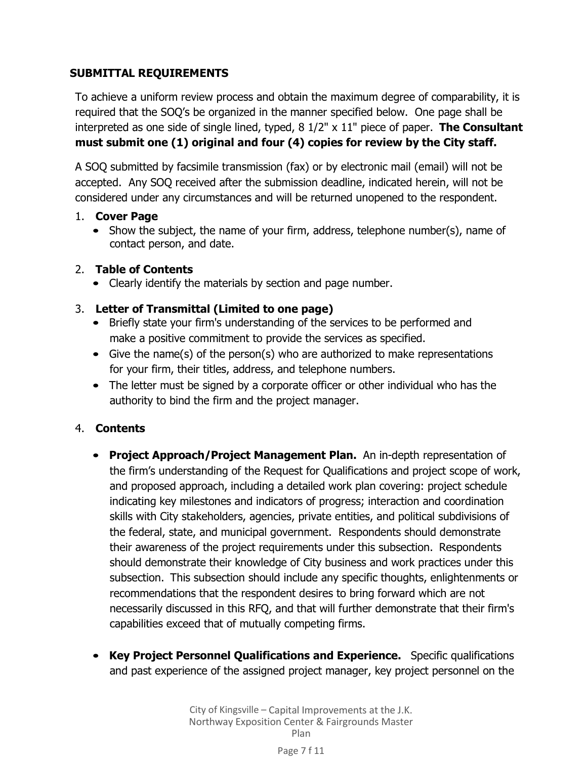# **SUBMITTAL REQUIREMENTS**

To achieve a uniform review process and obtain the maximum degree of comparability, it is required that the SOQ's be organized in the manner specified below. One page shall be interpreted as one side of single lined, typed, 8 1/2" x 11" piece of paper. **The Consultant must submit one (1) original and four (4) copies for review by the City staff.**

A SOQ submitted by facsimile transmission (fax) or by electronic mail (email) will not be accepted. Any SOQ received after the submission deadline, indicated herein, will not be considered under any circumstances and will be returned unopened to the respondent.

### 1. **Cover Page**

• Show the subject, the name of your firm, address, telephone number(s), name of contact person, and date.

# 2. **Table of Contents**

• Clearly identify the materials by section and page number.

# 3. **Letter of Transmittal (Limited to one page)**

- Briefly state your firm's understanding of the services to be performed and make a positive commitment to provide the services as specified.
- Give the name(s) of the person(s) who are authorized to make representations for your firm, their titles, address, and telephone numbers.
- The letter must be signed by a corporate officer or other individual who has the authority to bind the firm and the project manager.

# 4. **Contents**

- **Project Approach/Project Management Plan.** An in-depth representation of the firm's understanding of the Request for Qualifications and project scope of work, and proposed approach, including a detailed work plan covering: project schedule indicating key milestones and indicators of progress; interaction and coordination skills with City stakeholders, agencies, private entities, and political subdivisions of the federal, state, and municipal government. Respondents should demonstrate their awareness of the project requirements under this subsection. Respondents should demonstrate their knowledge of City business and work practices under this subsection. This subsection should include any specific thoughts, enlightenments or recommendations that the respondent desires to bring forward which are not necessarily discussed in this RFQ, and that will further demonstrate that their firm's capabilities exceed that of mutually competing firms.
- **Key Project Personnel Qualifications and Experience.** Specific qualifications and past experience of the assigned project manager, key project personnel on the

#### Page 7 f 11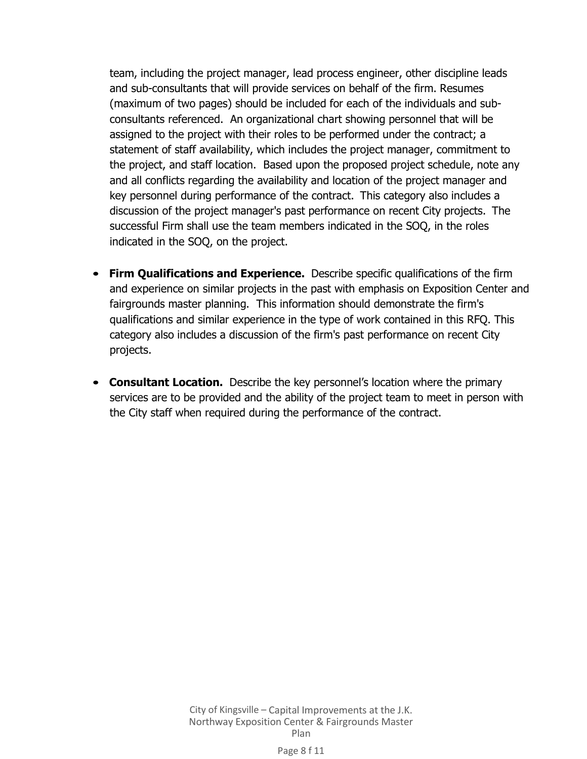team, including the project manager, lead process engineer, other discipline leads and sub-consultants that will provide services on behalf of the firm. Resumes (maximum of two pages) should be included for each of the individuals and subconsultants referenced. An organizational chart showing personnel that will be assigned to the project with their roles to be performed under the contract; a statement of staff availability, which includes the project manager, commitment to the project, and staff location. Based upon the proposed project schedule, note any and all conflicts regarding the availability and location of the project manager and key personnel during performance of the contract. This category also includes a discussion of the project manager's past performance on recent City projects. The successful Firm shall use the team members indicated in the SOQ, in the roles indicated in the SOQ, on the project.

- **Firm Qualifications and Experience.** Describe specific qualifications of the firm and experience on similar projects in the past with emphasis on Exposition Center and fairgrounds master planning. This information should demonstrate the firm's qualifications and similar experience in the type of work contained in this RFQ. This category also includes a discussion of the firm's past performance on recent City projects.
- **Consultant Location.** Describe the key personnel's location where the primary services are to be provided and the ability of the project team to meet in person with the City staff when required during the performance of the contract.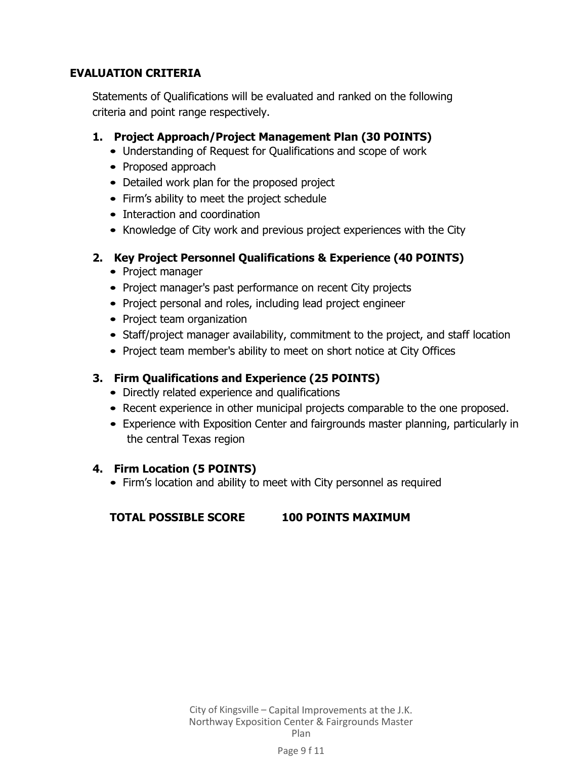## **EVALUATION CRITERIA**

Statements of Qualifications will be evaluated and ranked on the following criteria and point range respectively.

- **1. Project Approach/Project Management Plan (30 POINTS)**
	- Understanding of Request for Qualifications and scope of work
	- Proposed approach
	- Detailed work plan for the proposed project
	- Firm's ability to meet the project schedule
	- Interaction and coordination
	- Knowledge of City work and previous project experiences with the City

### **2. Key Project Personnel Qualifications & Experience (40 POINTS)**

- Project manager
- Project manager's past performance on recent City projects
- Project personal and roles, including lead project engineer
- Project team organization
- Staff/project manager availability, commitment to the project, and staff location
- Project team member's ability to meet on short notice at City Offices

# **3. Firm Qualifications and Experience (25 POINTS)**

- Directly related experience and qualifications
- Recent experience in other municipal projects comparable to the one proposed.
- Experience with Exposition Center and fairgrounds master planning, particularly in the central Texas region

### **4. Firm Location (5 POINTS)**

• Firm's location and ability to meet with City personnel as required

# **TOTAL POSSIBLE SCORE 100 POINTS MAXIMUM**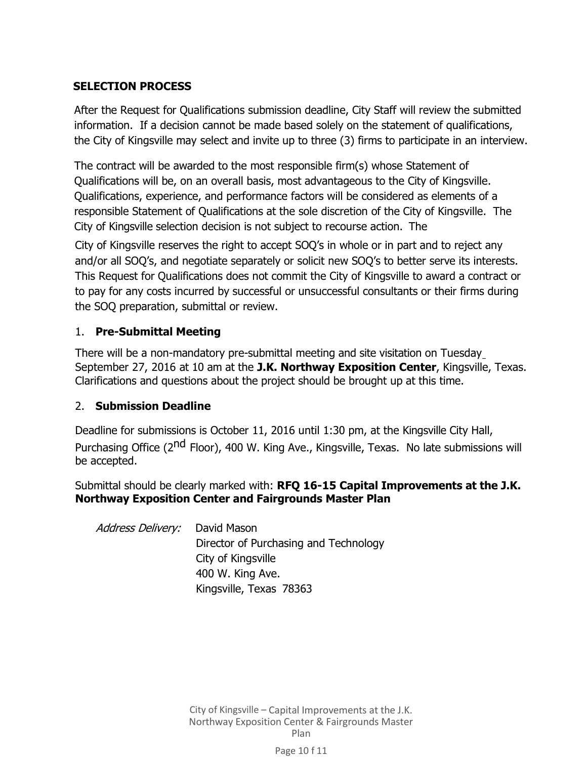## **SELECTION PROCESS**

After the Request for Qualifications submission deadline, City Staff will review the submitted information. If a decision cannot be made based solely on the statement of qualifications, the City of Kingsville may select and invite up to three (3) firms to participate in an interview.

The contract will be awarded to the most responsible firm(s) whose Statement of Qualifications will be, on an overall basis, most advantageous to the City of Kingsville. Qualifications, experience, and performance factors will be considered as elements of a responsible Statement of Qualifications at the sole discretion of the City of Kingsville. The City of Kingsville selection decision is not subject to recourse action. The

City of Kingsville reserves the right to accept SOQ's in whole or in part and to reject any and/or all SOQ's, and negotiate separately or solicit new SOQ's to better serve its interests. This Request for Qualifications does not commit the City of Kingsville to award a contract or to pay for any costs incurred by successful or unsuccessful consultants or their firms during the SOQ preparation, submittal or review.

### 1. **Pre-Submittal Meeting**

There will be a non-mandatory pre-submittal meeting and site visitation on Tuesday September 27, 2016 at 10 am at the **J.K. Northway Exposition Center**, Kingsville, Texas. Clarifications and questions about the project should be brought up at this time.

### 2. **Submission Deadline**

Deadline for submissions is October 11, 2016 until 1:30 pm, at the Kingsville City Hall, Purchasing Office (2<sup>nd</sup> Floor), 400 W. King Ave., Kingsville, Texas. No late submissions will be accepted.

Submittal should be clearly marked with: **RFQ 16-15 Capital Improvements at the J.K. Northway Exposition Center and Fairgrounds Master Plan**

| <i>Address Delivery:</i> David Mason |                                       |
|--------------------------------------|---------------------------------------|
|                                      | Director of Purchasing and Technology |
|                                      | City of Kingsville                    |
|                                      | 400 W. King Ave.                      |
|                                      | Kingsville, Texas 78363               |